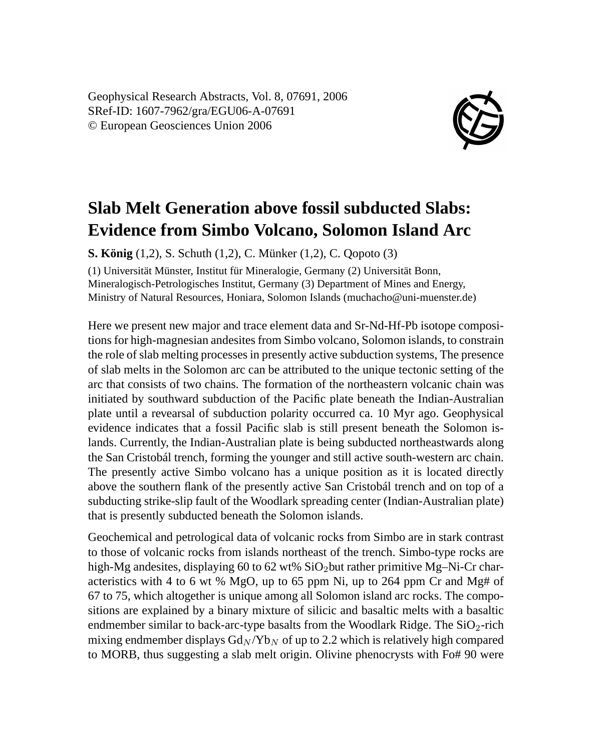Geophysical Research Abstracts, Vol. 8, 07691, 2006 SRef-ID: 1607-7962/gra/EGU06-A-07691 © European Geosciences Union 2006



## **Slab Melt Generation above fossil subducted Slabs: Evidence from Simbo Volcano, Solomon Island Arc**

**S. König** (1,2), S. Schuth (1,2), C. Münker (1,2), C. Qopoto (3)

(1) Universität Münster, Institut für Mineralogie, Germany (2) Universität Bonn, Mineralogisch-Petrologisches Institut, Germany (3) Department of Mines and Energy, Ministry of Natural Resources, Honiara, Solomon Islands (muchacho@uni-muenster.de)

Here we present new major and trace element data and Sr-Nd-Hf-Pb isotope compositions for high-magnesian andesites from Simbo volcano, Solomon islands, to constrain the role of slab melting processes in presently active subduction systems, The presence of slab melts in the Solomon arc can be attributed to the unique tectonic setting of the arc that consists of two chains. The formation of the northeastern volcanic chain was initiated by southward subduction of the Pacific plate beneath the Indian-Australian plate until a revearsal of subduction polarity occurred ca. 10 Myr ago. Geophysical evidence indicates that a fossil Pacific slab is still present beneath the Solomon islands. Currently, the Indian-Australian plate is being subducted northeastwards along the San Cristobál trench, forming the younger and still active south-western arc chain. The presently active Simbo volcano has a unique position as it is located directly above the southern flank of the presently active San Cristobál trench and on top of a subducting strike-slip fault of the Woodlark spreading center (Indian-Australian plate) that is presently subducted beneath the Solomon islands.

Geochemical and petrological data of volcanic rocks from Simbo are in stark contrast to those of volcanic rocks from islands northeast of the trench. Simbo-type rocks are high-Mg andesites, displaying 60 to 62 wt%  $SiO<sub>2</sub>$  but rather primitive Mg–Ni-Cr characteristics with 4 to 6 wt % MgO, up to 65 ppm Ni, up to 264 ppm Cr and Mg# of 67 to 75, which altogether is unique among all Solomon island arc rocks. The compositions are explained by a binary mixture of silicic and basaltic melts with a basaltic endmember similar to back-arc-type basalts from the Woodlark Ridge. The  $SiO<sub>2</sub>$ -rich mixing endmember displays  $Gd_N/Yb_N$  of up to 2.2 which is relatively high compared to MORB, thus suggesting a slab melt origin. Olivine phenocrysts with Fo# 90 were